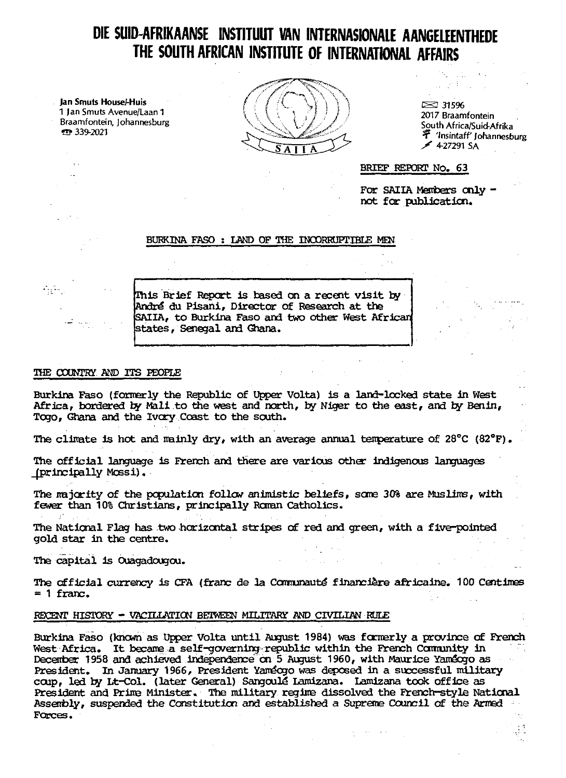# **DIE SUID AFRIKAANSE INSTITUUT VAN INTERNASIONALE AANGELEENTHEDE THE SOUTH AFRICAN INSTITUTE OF INTERNATIONAL AFFAIRS**

**Jan Smuts House/-Huis** 1 Jan Smuts Avenue/Laan 1 Braamfontein, Johannesburg ¥»? 339-2021



 $\approx$  315% 2017 Braamfontein South Africa/Suid-Afrika •T 'Insintaff Johannesburg  $\angle$  4-27291 SA

BRIEF REPORT No, 63

For SAIIA Members only not for publication.

# BURKINA FASO : LAND OF THE INCORRUPTIBLE MEN

Ihis Brief Report is based on a recent visit by André du Pisani, Director of Research at the SAIIA, to Burkina Faso and two other West African states, Senegal and Ghana.

# THE COUNTRY AND ITS PEOPLE

 $\mathcal{L}_{\mathcal{A}}$  .

Burkina Faso (formerly the Republic of Upper Volta) is a land-locked state in West Africa, bordered by Mali to the west and north, by Niger to the east, and by Benin, Togo, Ghana and the Ivory Coast to the south.

The climate is hot and mainly dry, with an average annual temperature of  $28^{\circ}\text{C}$  (82 $^{\circ}\text{F}$ ).

The official language is French and there are various other indigenous languages ^principally Mossi) •

The majority of the population follow animistic beliefs, some 30% are Muslims, with fewer than 10% Christians, principally Roman Catholics.

The National Flag has two horizontal stripes of red and green, with a five-pointed gold star in the centre.

The capital is Ouagadougou.

The official currency is CFA (franc de la Communauté financière africaine. 100 Centimes  $= 1$  franc.

# RECENT HISTORY - VACILLKriON BETWEEN MILITARY AND\_ CIVILIAN RULE

Burkina Faso (known as Upper Volta until August 1984) was formerly a province of French West Africa. It became a self-governing republic within the French Community in December 1958 and achieved independence on 5 August 1960, with Maurice YamSogo as President. In January 1966, President Yaméogo was deposed in a successful military coup, led by Lt-Col. (later General) Sangoulé Lamizana. Lamizana took office as President and Prime Minister, The military regime dissolved the French-style National Assembly, suspended the Constitution and established a Supreme Council of the Armed Forces.

فالقارب وقوارياته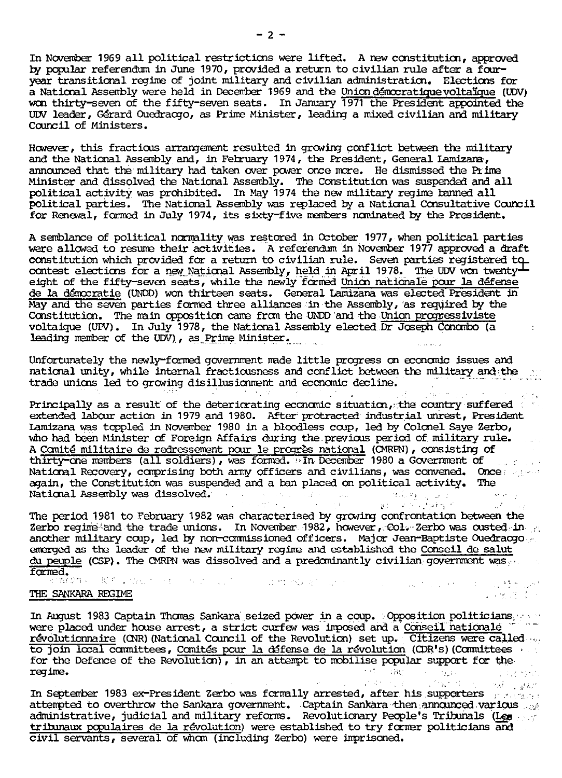In November 1969 all political restrictions were lifted. A new constitution, approved by popular referendum in June 1970, provided a return to civilian rule after a fouryear transitional regime of joint military and civilian administration. Elections for a National Assembly were held in December 1969 and the Union démocratique voltaïque (UDV) won thirty-seven of the fifty-seven seats. In January 1971 the President appointed the UDV leader, Gérard Ouedracgo, as Prime Minister, leading a mixed civilian and military Council of Ministers.

However, this fractious arrangement resulted in growing conflict between the military and the National Assembly and, in February 1974, the President, General Lamizana, announced that the military had taken over power once more. He dismissed the Prime Minister and dissolved the National Assembly. The Constitution was suspended and all political activity was prohibited. In May 1974 the new military regime banned all political parties. The National Assembly was replaced by a National Consultative Council for Renewal, formed in July 1974, its sixty-five members nominated by the President.

A semblance of political normality was restored in Cctober 1977, when political parties were allowed to resume their activities. A referendum in November 1977 approved a draft were allowed to lesule died accuration. The civilian rule. Seven parties registered to constitution which provided for a return to civilian rule. Seven parties registered to contest elections for a new.National Assembly, held in April 1978, The UDV won twenty' eight of the fifty-seven seats, while the newly formed Union rationale pour la defense de la d£mccratie (UNDD) won thirteen seats. General Lamizana was elected President in May and the seven parties formed three alliances in the Assembly, as required by the Constitution. The main opposition came from the UNDD and the Union progressiviste voltaique <UFV). In July 1978, the National Assembly elected Dr Joseph Conombo (a : leading member of the UDV), as Prime Minister.

Unfortunately the newly-formed government made little progress on economic issues and national unity, while internal fractiousness and conflict between the military and the trade unions led to growing disillusionment and economic decline.

Principally as a result of the deteriorating economic situation, the country suffered : extended labour action in 1979 and 1980. After protracted industrial unrest, President Lamizana was toppled in November 1980 in a bloodless coup, led by Colonel Saye Zerbo, who had been Minister of Foreign Affairs during the previous period of military rule. A Comlte' militaire de redressement pour le progres national (CMRPN), consisting of thirty-one members (all soldiers), was formed. In December 1980 a Government of National Recovery, comprising both army officers and civilians, was convened. Once: again, the Constitution was suspended and a ban placed on political activity. The National Assembly was dissolved. • ; • *•'•••'•'>* \*

The period 1981 to February 1982 was characterised by growing confrontation between the Zerbo regima and the trade unions. In November 1982, however, Col. Zerbo was ousted in another military coup, led by non-commissioned officers. Major Jean-Baptiste Ouedraogo emerged as the leader of the new military regime and established the Conseil de salut du peuple (CSP). The CMRPN was dissolved and a predominantly civilian government was?formed.

THE SANKARA REGIME . .'-V- :

In August 1983 Captain Thomas Sankara seized power in a coup. Opposition politicians, were placed under house arrest, a strict curfew was imposed and a Conseil nationale revolutionnaire (CNR) (National Council of the Revolution) set up. Citizens were called to join local committees, Comités pour la défense de la révolution (CDR's) (Committees for the Defence of the Revolution), in an attempt to mobilise popular support for the reqime. regime. - •" *-.?\*•* • •>, ; . ..• -;

In September 1983 ex-President Zerbo was formally arrested, after his supporters *radially* attempted to overthrow the Sankara government. Captain Sankara -then.announced various .. administrative, judicial and military reforms. Revolutionary People's Tribunals (Lgp • tribunaux populaires de la révolution) were established to try former politicians and civil servants, several of whom (including Zerbo) were imprisoned.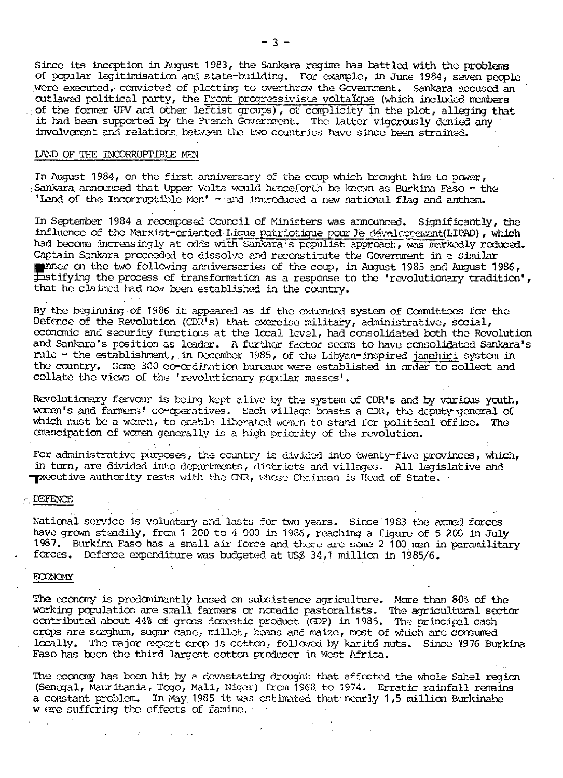Since its inception in August 1983, the Sankara regime has battled with the problems of popular legitimisation and state-building. For example, in June 1984, seven people were executed, convicted of plotting to overthrow the Government. Sankara accused an outlawed political party, the Front progressiviste voltaïque (which included members of the former UPV and other leftist groups), of complicity in the plot, alleging that it had been supported by the French Government. The latter vigorously denied any involvement and relations between tlie two countries have since been strained.

#### LAND OF THE INCORRUPTIBLE MEN

In August 1984, on the first anniversary of the coup which brought him to power, : Sankara announced that Upper Volta would henceforth be known as Burkina Faso - the 'Land of the Incorruptible Men' - and introduced a new national flag and anthon.

In September 1984 a recomposed Council of Ministers was announced. Significantly, the influence of the Marxist-oriented Lique patriotique pour le dévelopment(LIPAD), which had become increasingly at odds with Sankara's populist approach, was markedly reduced. Captain Sankara proceeded to dissolve and reconstitute the Government in a similar where on the two following anniversaries of the coup, in August 1985 and August 1986,  $\overline{\text{F}}$ stifying the process of transformation as a response to the 'revolutionary tradition', that he claimed had now been established in the country.

By the beginning of 1986 it appeared as if the extended system of Committees for the Defence of the Revolution (CDR's) that exercise military, administrative, social, economic and security functions at the local level, had consolidated both the Revolution and Sankara's position as leader. A further factor seems to have consolidated Sankara's rule - the establishment, in December 1985, of the Libyan-inspired jamahiri system in the country. Some 300 co-ordination bureaux were established in order to collect and collate the views of the 'revolutionary popular masses'.

Revolutionary fervour is being kept alive by the system of CDR's and by various youth, women's and farmers' co-operatives, . Each village beasts a CDR, the deputy-general of which must be a woman, to enable liberated women to stand for political office. The emancipation of women generally is a high priority of the revolution.

For administrative purposes, the country is divided into twenty-five provinces, which, in turn, are. divided into departments, districts and villages- All legislative and executive authority rests with the CNR, whose Chsirrran is Head of State,

## . DEFENCE

National service is voluntary and lasts for two years. Since 1983 the armed forces have grown steadily, from 1 200 to 4 000 in 1986, reaching a figure of 5 200 in July 1987. Burkina Faso has a small air force and there are sore 2 100 men in paramilitary forces. Deferce expenditure was budgeted at U5£ 34,1 million in 1985/6.

## ECONOMY

The economy is predominantly based on subsistence agriculture. More than 80% of the working population are small farmers or ncrnadic pastoralists. The agricultural sector contributed about 44% of gross domestic product (GD?) in 1985. The principal cash crops are sorghum, sugar cane, millet, beans and maize, most of which are consumed locally. The major expert crop is cotton, followed by karité nuts. Since 1976 Burkina Faso has been the third largest cotton producer in West Africa.

The economy has been hit by a devastating drought that affected the whole Sahel region (Senegal, Mauritania, Togo, Mali, Nig^r) from 1968 to 1974- Erratic rainfall remains a constant problem. In May 1985 it was estimated that nearly 1,5 million Burkinabe w ere suffering the effects of famine.

 $\mathcal{L}^{\mathcal{L}}$  , where  $\mathcal{L}^{\mathcal{L}}$  and  $\mathcal{L}^{\mathcal{L}}$  and  $\mathcal{L}^{\mathcal{L}}$ 

 $\Delta \sim 100$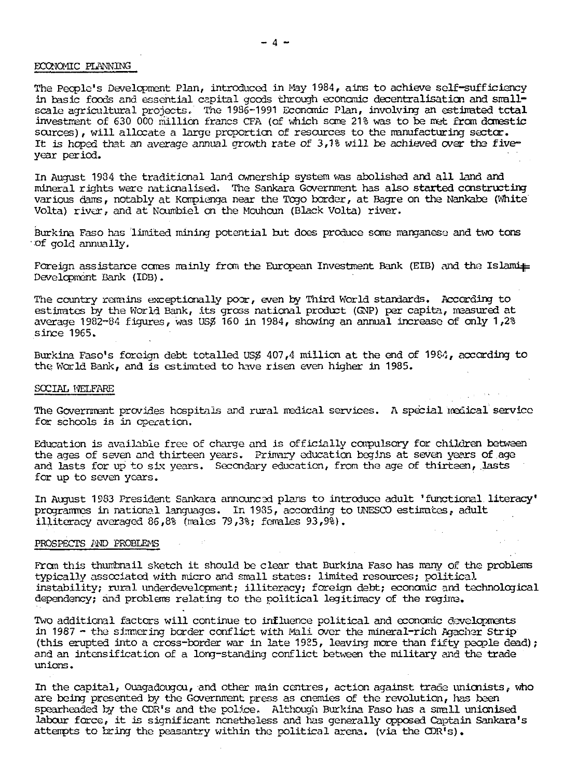## ECONOMIC PLANNING

The People's Development Plan, introduced in May 1984, aims to achieve self-sufficiency in basic foods and essential capital goods through economic decentralisation and smallscale agricultural projects. The 1986-1991 Economic Plan, involving an estimated tctal investment of 630 000 million francs CFA (of which some 21% was to be met from domestic sources), will allocate a large proportion of resources to the manufacturing sector. It is hoped that an average annual growth rate of  $3,18$  will be achieved over the fiveyear period.

In August 1934 the traditional land ownership system was abolished and all land and mineral rights were nationalised. The Sankara Government has also started constructing various dams, notably at Kompienga near the Togo border, at Bagre on the Nankabe (White Volta) river, and at Noumbiel on the Mouhoun (Black Volta) river.

Burkina Faso has limited mining potential but does produce some manganese and two tons of gold annually.

Foreign assistance comes mainly from the European Investment Bank (EIB) and the Islami $\#$ Development Bank (IDB).

The country remains exceptionally poor, even by Third World standards. According to estimates by the World Bank, its gross national product (GNP) per capita, measured at average  $1982-84$  figures, was USS 160 in 1984, showing an annual increase of only 1,2% since  $1965.$ 

Burkina Faso's foreign debt totalled US\$ 407,4 million at the end of  $1984$ , according to the World Bank, and is estimated to have risen even higher in 1985.

#### SOCIAL WELFARE

The Government provides hospitals and rural medical services. A special medical service for schools is in operation.

Education is available free of charge and is officially compulsory for children between the ages of seven and thirteen years. Priirary education begins at seven years of age and lasts for up to six years. Secondary education, from the age of thirteen, lasts for up to seven years.

In August 1983 President Sankara announced plans to introduce adult 'functional literacy' programmes in national languages. In 1935, according to UNESCO estimates, adult illiteracy averaged 86,8% (males 79,3%; females 93,9%).

#### PROSPECTS AND PROBLEMS

From this thumbnail sketch it should be clear that Burkina Faso has many of the problems typically associated with micro and small states: limited resources; political instability; rural underdevelopment; illiteracy; foreign debt; economic and technological dependency; and problems relating to the political legitimacy of the regime.

Two additional factors will continue to influence political and economic developments in 1987 - the simmering border conflict with Mali over the mineral-rich Agacher Strip (this erupted into a cross-border war in late 1985, leaving more than fifty people dead); and an intensification of a long-standing conflict between the military and the trade unions.

In the capital, Ouagadougou, and other main centres, action against trade unionists, who are being presented by the Government press as enemies of the revolution, has been spearheaded *h/* the CDR's and the police. Although Burkina Faso has a small unionised labour force, it is significant nonetheless and has generally opposed Captain Sankara's attempts to bring the peasantry within the political arena, (via the CDR's),